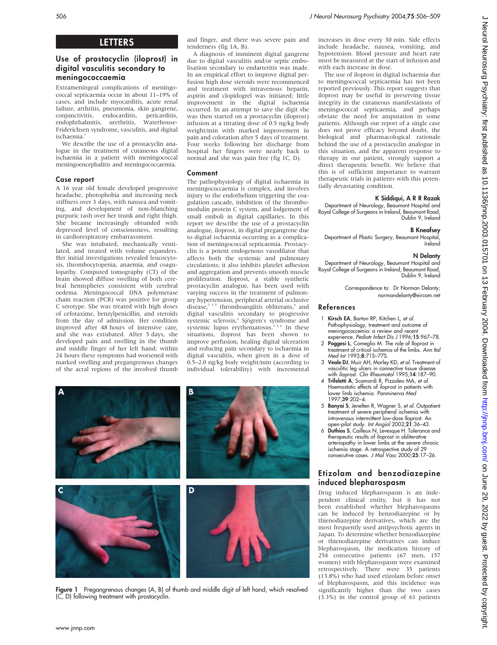# LETTERS

# Use of prostacyclin (iloprost) in digital vasculitis secondary to meningococcaemia

Extrameningeal complications of meningococcal septicaemia occur in about 11–19% of cases, and include myocarditis, acute renal failure, arthritis, pneumonia, skin gangrene, conjunctivitis, endocarditis, pericarditis, endophthalmitis, urethritis, Friderichsen syndrome, vasculitis, and digital ischaemia.<sup>1</sup>

We describe the use of a prostacyclin analogue in the treatment of cutaneous digital ischaemia in a patient with meningococcal meningoencephalitis and meningococcaemia.

# Case report

A 16 year old female developed progressive headache, photophobia and increasing neck stiffness over 3 days, with nausea and vomiting, and development of non-blanching purpuric rash over her trunk and right thigh. She became increasingly obtunded with depressed level of consciousness, resulting in cardiorespiratory embarrassment.

She was intubated, mechanically ventilated, and treated with volume expanders. Her initial investigations revealed leucocytosis, thrombocytopenia, anaemia, and coagulopathy. Computed tomography (CT) of the brain showed diffuse swelling of both cerebral hemispheres consistent with cerebral oedema. Meningococcal DNA polymerase chain reaction (PCR) was positive for group C serotype. She was treated with high doses of cefotaxime, benzylpenicillin, and steroids from the day of admission. Her condition improved after 48 hours of intensive care, and she was extubated. After 5 days, she developed pain and swelling in the thumb and middle finger of her left hand; within 24 hours these symptoms had worsened with marked swelling and pregangrenous changes of the acral regions of the involved thumb and finger, and there was severe pain and tenderness (fig 1A, B).

A diagnosis of imminent digital gangrene due to digital vasculitis and/or septic embolisation secondary to endarteritis was made. In an empirical effort to improve digital perfusion high dose steroids were recommenced and treatment with intravenous heparin, aspirin and clopidogrel was initiated; little improvement in the digital ischaemia occurred. In an attempt to save the digit she was then started on a prostacyclin (iloprost) infusion at a titrating dose of 0.5 ng/kg body weight/min with marked improvement in pain and coloration after 5 days of treatment. Four weeks following her discharge from hospital her fingers were nearly back to normal and she was pain free (fig 1C, D).

# Comment

The pathophysiology of digital ischaemia in meningococcaemia is complex, and involves injury to the endothelium triggering the coagulation cascade, inhibition of the thrombomodulin protein C system, and lodgement of small emboli in digital capillaries. In this report we describe the use of a prostacyclin analogue, iloprost, in digital pregangrene due to digital ischaemia occurring as a complication of meningococcal septicaemia. Prostacyclin is a potent endogenous vasodilator that affects both the systemic and pulmonary circulations; it also inhibits platelet adhesion and aggregation and prevents smooth muscle proliferation. Iloprost, a stable synthetic prostacyclin analogue, has been used with varying success in the treatment of pulmonary hypertension, peripheral arterial occlusive disease, $2^{3}$ <sup>5</sup> thromboangiitis obliterans, $6$  and digital vasculitis secondary to progressive systemic sclerosis,<sup>2</sup> Sjögren's syndrome and systemic lupus erythematosus.<sup>356</sup> In these situations, iloprost has been shown to improve perfusion, healing digital ulceration and reducing pain secondary to ischaemia in digital vasculitis, when given in a dose of 0.5–2.0 ng/kg body weight/min (according to individual tolerability) with incremental



Figure 1 Pregangrenous changes (A, B) of thumb and middle digit of left hand, which resolved (C, D) following treatment with prostacyclin.

increases in dose every 30 min. Side effects include headache, nausea, vomiting, and hypotension. Blood pressure and heart rate must be measured at the start of infusion and with each increase in dose.

The use of iloprost in digital ischaemia due to meningococcal septicaemia has not been reported previously. This report suggests that iloprost may be useful in preserving tissue integrity in the cutaneous manifestations of meningococcal septicaemia, and perhaps obviate the need for amputation in some patients. Although our report of a single case does not prove efficacy beyond doubt, the biological and pharmacological rationale behind the use of a prostacyclin analogue in this situation, and the apparent response to therapy in our patient, strongly support a direct therapeutic benefit. We believe that this is of sufficient importance to warrant therapeutic trials in patients with this potentially devastating condition.

# K Siddiqui, A R R Razak

Department of Neurology, Beaumont Hospital and Royal College of Surgeons in Ireland, Beaumont Road, Dublin 9, Ireland

# B Kneafsey

Department of Plastic Surgery, Beaumont Hospital, Ireland

# N Delanty

Department of Neurology, Beaumont Hospital and Royal College of Surgeons in Ireland, Beaumont Road, Dublin 9, Ireland

> Correspondence to: Dr Norman Delanty; normandelanty@eircom.net

## References

- Kirsch EA, Barton RP, Kitchen L, et al. Pathophysiology, treatment and outcome of meningococcemia: a review and recent experience. Pediatr Infect Dis J 1996;15:967–78.
- 2 Poggesi L, Comeglio M. The role of Iloprost in treatment of critical ischemia of the limbs. Ann Ital Med Int 1993;8:71S–77S.
- 3 Veale DJ, Muir AH, Morley KD, et al. Treatment of vasculitic leg ulcers in connective tissue disease with iloprost. Clin Rheumatol 1995;14:187–90.
- 4 Trifeletti A, Scamardi R, Pizzoleo MA, et al. Haemostatic effects of iloprost in patients with lower limb ischemia. Panminerva Med 1997;39:202–4.
- 5 Banyai S, Jenelten R, Wagner S, et al. Outpatient treatment of severe peripheral ischemia with intravenous intermittent low-dose Iloprost. An open-pilot study. Int Angiol 2002;21:36–43.
- 6 Duthios S, Cailleux N, Levesque H. Tolerance and therapeutic results of iloprost in obliterative arteriopathy in lower limbs at the severe chronic ischemia stage. A retrospective study of 29 consecutive cases. J Mal Vasc 2000;25:17–26.

# Etizolam and benzodiazepine induced blepharospasm

Drug induced blepharospasm is an independent clinical entity, but it has not been established whether blepharospasms can be induced by benzodiazepine or by thienodiazepine derivatives, which are the most frequently used antipsychotic agents in Japan. To determine whether benzodiazepine or thienodiazepine derivatives can induce blepharospasm, the medication history of 254 consecutive patients (67 men, 157 women) with blepharospasm were examined retrospectively. There were 35 patients (13.8%) who had used etizolam before onset of blepharospasm, and this incidence was significantly higher than the two cases (3.3%) in the control group of 61 patients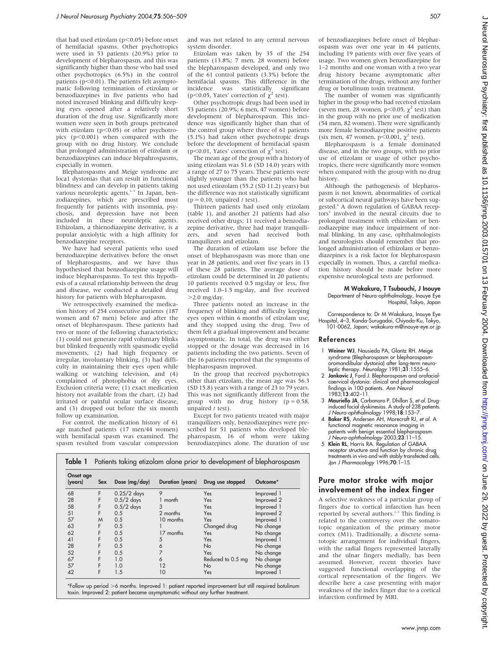that had used etizolam ( $p<0.05$ ) before onset of hemifacial spasms. Other psychotropics were used in 53 patients (20.9%) prior to development of blepharospasm, and this was significantly higher than those who had used other psychotropics (6.5%) in the control patients  $(p<0.01)$ . The patients felt asymptomatic following termination of etizolam or benzodiazepines in five patients who had noted increased blinking and difficulty keeping eyes opened after a relatively short duration of the drug use. Significantly more women were seen in both groups pretreated with etizolam ( $p<0.05$ ) or other psychotropics  $(p<0.001)$  when compared with the group with no drug history. We conclude that prolonged administration of etizolam or benzodiazepines can induce blepahrospasms, especially in women.

Blepharospasms and Meige syndrome are loca1 dystonias that can result in functional blindness and can develop in patients taking<br>various neuroleptic agents.<sup>1-3</sup> In Japan, benzodiazepines, which are prescribed most frequently for patients with insomnia, psychosis, and depression have not been included in these neuroleptic agents. Ethizolam, a thienodiazepine derivative, is a popular anxiolytic with a high affinity for benzodiazepine receptors.

We have had several patients who used benzodiazepine derivatives before the onset of blepharospasms, and we have thus hypothesised that benzodiazepine usage will induce blepharospasms. To test this hypothesis of a causal relationship between the drug and disease, we conducted a detailed drug history for patients with blepharospasm.

We retrospectively examined the medication history of 254 consecutive patients (187 women and 67 men) before and after the onset of blepharospasm. These patients had two or more of the following characteristics; (1) could not generate rapid voluntary blinks but blinked frequently with spasmodic eyelid movements, (2) had high frequency or irregular, involuntary blinking, (3) had difficulty in maintaining their eyes open while walking or watching television, and (4) complained of photophobia or dry eyes. Exclusion criteria were; (1) exact medication history not available from the chart, (2) had irritated or painful ocular surface disease, and (3) dropped out before the six month follow up examination.

For control, the medication history of 61 age matched patients (17 men/44 women) with hemifacial spasm was examined. The spasm resulted from vascular compression and was not related to any central nervous system disorder.

Etizolam was taken by 35 of the 254 patients (13.8%; 7 men, 28 women) before the blepharospasm developed, and only two of the 61 control patients (3.3%) before the hemifacial spasms. This difference in the incidence was statistically significant (p $\leq$ 0.05, Yates' correction of  $\chi^2$  test).

Other psychotropic drugs had been used in 53 patients (20.9%; 6 men, 47 women) before development of blepharospasm. This incidence was significantly higher than that of the control group where three of 61 patients (5.1%) had taken other psychotropic drugs before the development of hemifacial spasm ( $p \leq 0.01$ . Yates' correction of  $\gamma^2$  test).

The mean age of the group with a history of using etizolam was 51.6 (SD 14.0) years with a range of 27 to 75 years. These patients were slightly younger than the patients who had not used etiozolam (55.2 (SD 11.2) years) but the difference was not statistically significant  $(p = 0.10,$  unpaired t test).

Thirteen patients had used only etizolam (table 1), and another 21 patients had also received other drugs; 11 received a benzodiazepine derivative, three had major tranquilizers, and seven had received both tranquilizers and etizolam.

The duration of etizolam use before the onset of blepharospasm was more than one year in 28 patients, and over five years in 13 of these 28 patients. The average dose of etizolam could be determined in 20 patients; 10 patients received 0.5 mg/day or less, five received 1.0–1.5 mg/day, and five received  $>2.0$  mg/day.

Three patients noted an increase in the frequency of blinking and difficulty keeping eyes open within 6 months of etizolam use, and they stopped using the drug. Two of them felt a gradual improvement and became asymptomatic. In total, the drug was either stopped or the dosage was decreased in 16 patients including the two patients. Seven of the 16 patients reported that the symptoms of blepharospasm improved.

In the group that received psychotropics other than etizolam, the mean age was 56.3 (SD 15.8) years with a range of 23 to 79 years. This was not significantly different from the group with no drug history  $(p = 0.58,$ unpaired  $t$  test).

Except for two patients treated with major tranquilizers only, benzodiazepines were prescribed for 51 patients who developed blepharospasm, 16 of whom were taking benzodiazepines alone. The duration of use

| Table 1              |            |               |                  | Patients taking etizolam alone prior to development of blepharospasm |            |  |  |
|----------------------|------------|---------------|------------------|----------------------------------------------------------------------|------------|--|--|
| Onset age<br>(years) | <b>Sex</b> | Dose (mg/day) | Duration (years) | Drug use stopped                                                     | Outcome*   |  |  |
| 68                   |            | $0.25/2$ days |                  | Yes                                                                  | Improved 1 |  |  |
| 28                   |            | $0.5/2$ days  | month            | Yes                                                                  | Improved 2 |  |  |
| 58                   |            | $0.5/2$ days  |                  | Yes                                                                  | Improved 1 |  |  |
| 51                   |            | 05            | $2$ months       | $V_{\alpha\alpha}$                                                   | Innrowed   |  |  |

| $\tilde{ }$ |   | $\cdots$ = $\cdots$ |                | $\cdot$ .         | 1.11191919091 |
|-------------|---|---------------------|----------------|-------------------|---------------|
| 51          |   | 0.5                 | 2 months       | Yes               | Improved 2    |
| 57          | M | 0.5                 | 10 months      | Yes               | Improved 1    |
| 63          |   | 0.5                 |                | Changed drug      | No change     |
| 62          |   | 0.5                 | 17 months      | Yes               | No change     |
| 41          |   | 0.5                 |                | Yes               | Improved 1    |
| 28          |   | 0.5                 |                | No                | No change     |
| 52          |   | 0.5                 |                | Yes               | No change     |
| 67          |   | 1.0                 |                | Reduced to 0.5 mg | No change     |
| 57          |   | 1.0                 | $\overline{2}$ | No                | No change     |
| 42          |   | 1.5                 | 10             | Yes               | Improved 1    |
|             |   |                     |                |                   |               |

\*Follow up period >6 months. Improved 1: patient reported improvement but still required botulinum toxin. Improved 2: patient became asymptomatic without any further treatment.

of benzodiazepines before onset of blepharospasm was over one year in 44 patients, including 19 patients with over five years of usage. Two women given benzodiazepine for 1–2 months and one woman with a two year drug history became asymptomatic after termination of the drugs, without any further drug or botulinum toxin treatment.

The number of women was significantly higher in the group who had received etizolam (seven men, 28 women, p<0.05,  $\chi^2$  test) than in the group with no prior use of medication (54 men, 82 women). There were significantly more female benzodiazepine positive patients (six men, 47 women,  $p$ <0.001,  $\chi^2$  test).

Blepharospasm is a female dominated disease, and in the two groups, with no prior use of etizolam or usage of other psychotropics, there were significantly more women when compared with the group with no drug history.

Although the pathogenesis of blepharospasm is not known, abnormalities of cortical or subcortical neural pathways have been suggested<sup>4</sup> A down regulation of GABAA receptors<sup>5</sup> involved in the neural circuits due to prolonged treatment with ethizolam or benzodiazepine may induce impairment of normal blinking. In any case, ophthalmologists and neurologists should remember that prolonged administration of ethizolam or benzodiazepines is a risk factor for blepharospasm especially in women. Thus, a careful medication history should be made before more expensive neurological tests are performed.

#### M Wakakura, T Tsubouchi, J Inouye Department of Neuro-ophthalmology, Inouye Eye Hospital, Tokyo, Japan

Correspondence to: Dr M Wakakura, Inouye Eye Hospital, 4–3, Kanda-Surugadai, Chiyoda-Ku, Tokyo, 101-0062, Japan; wakakura-m@inouye-eye.or.jp

### References

- 1 Weiner WJ, Nausieda PA, Glantz RH. Meige syndrome (Blepharospasm or blepharospasmoromandibular dystonia) after long-term neuroleptic therapy. Neurology  $1981;31:1555-6$ .
- 2 Jankovic J, Ford J. Blepharospasm and orofacialcaervical dystonia: clinical and pharmacological tindings in 100 patients. *Ann Neuro*<br>1983;**13**:402–11.
- 3 Mauriello JA, Carbonaro P, Dhillon S, et al. Druginduced facial dyskinesias. A study of 238 patients. J Neuro-ophthalmology 1998;18:153–7.
- 4 Baker RS, Andersen AH, Morecraft RJ, et al. A functional magnetic resonance imaging in patients with benign essential blepharospasm. J Neuro-ophthalmology 2003;23:11–15.
- 5 Klein RL, Harris RA. Regulation of GABAA receptor structure and function by chronic drug treatments in vivo and with stably transfected cells. Jpn J Pharmacology 1996;70:1–15.

## Pure motor stroke with major involvement of the index finger

A selective weakness of a particular group of fingers due to cortical infarction has been reported by several authors. $1-3$  This finding is related to the controversy over the somatotopic organization of the primary motor cortex (M1). Traditionally, a discrete somatotopic arrangement for individual fingers, with the radial fingers represented laterally and the ulnar fingers medially, has been assumed. However, recent theories have suggested functional overlapping of the cortical representation of the fingers. We describe here a case presenting with major weakness of the index finger due to a cortical infarction confirmed by MRI.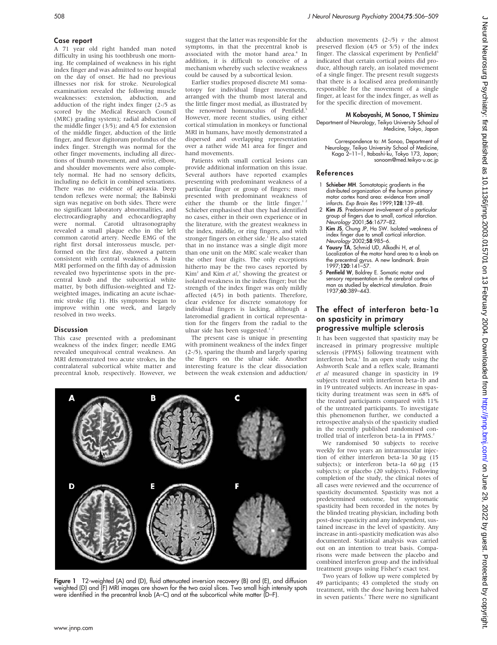## Case report

A 71 year old right handed man noted difficulty in using his toothbrush one morning. He complained of weakness in his right index finger and was admitted to our hospital on the day of onset. He had no previous illnesses nor risk for stroke. Neurological examination revealed the following muscle weaknesses: extension, abduction, and adduction of the right index finger (2-/5 as scored by the Medical Research Council (MRC) grading system); radial abduction of the middle finger (3/5); and 4/5 for extension of the middle finger, abduction of the little finger, and flexor digitorum profundus of the index finger. Strength was normal for the other finger movements, including all directions of thumb movement, and wrist, elbow, and shoulder movements were also completely normal. He had no sensory deficits, including no deficit in combined sensations. There was no evidence of apraxia. Deep tendon reflexes were normal; the Babinski sign was negative on both sides. There were no significant laboratory abnormalities, and electrocardiography and echocardiography<br>were normal. Carotid ultrasonography  $\overrightarrow{C}$ arotid ultrasonography revealed a small plaque echo in the left common carotid artery. Needle EMG of the right first dorsal interosseus muscle, performed on the first day, showed a pattern consistent with central weakness. A brain MRI performed on the fifth day of admission revealed two hyperintense spots in the precentral knob and the subcortical white matter, by both diffusion-weighted and T2 weighted images, indicating an acute ischaemic stroke (fig 1). His symptoms began to improve within one week, and largely resolved in two weeks.

### **Discussion**

This case presented with a predominant weakness of the index finger; needle EMG revealed unequivocal central weakness. An MRI demonstrated two acute strokes, in the contralateral subcortical white matter and precentral knob, respectively. However, we

suggest that the latter was responsible for the symptoms, in that the precentral knob is associated with the motor hand area.<sup>4</sup> In addition, it is difficult to conceive of a mechanism whereby such selective weakness could be caused by a subcortical lesion.

Earlier studies proposed discrete M1 somatotopy for individual finger movements, arranged with the thumb most lateral and the little finger most medial, as illustrated by the renowned homunculus of Penfield.<sup>5</sup> However, more recent studies, using either cortical stimulation in monkeys or functional MRI in humans, have mostly demonstrated a dispersed and overlapping representation over a rather wide M1 area for finger and hand movements.

Patients with small cortical lesions can provide additional information on this issue. Several authors have reported examples presenting with predominant weakness of a particular finger or group of fingers; most presented with predominant weakness of either the thumb or the little finger.<sup>1</sup> Schieber emphasised that they had identified no cases, either in their own experience or in the literature, with the greatest weakness in the index, middle, or ring fingers, and with stronger fingers on either side.<sup>1</sup> He also stated that in no instance was a single digit more than one unit on the MRC scale weaker than the other four digits. The only exceptions hitherto may be the two cases reported by  $Kim<sup>2</sup>$  and Kim *et al*,<sup>3</sup> showing the greatest or isolated weakness in the index finger; but the strength of the index finger was only mildly affected (4/5) in both patients. Therefore, clear evidence for discrete somatotopy for individual fingers is lacking, although a lateromedial gradient in cortical representation for the fingers from the radial to the ulnar side has been suggested.<sup>1</sup>

The present case is unique in presenting with prominent weakness of the index finger (2-/5), sparing the thumb and largely sparing the fingers on the ulnar side. Another interesting feature is the clear dissociation between the weak extension and adduction/



Figure 1 T2-weighted (A) and (D), fluid attenuated inversion recovery (B) and (E), and diffusion weighted (D) and (F) MRI images are shown for the two axial slices. Two small high intensity spots were identified in the precentral knob (A–C) and at the subcortical white matter (D–F).

abduction movements  $(2-/5)$  v the almost preserved flexion (4/5 or 5/5) of the index finger. The classical experiment by Penfield<sup>5</sup> indicated that certain cortical points did produce, although rarely, an isolated movement of a single finger. The present result suggests that there is a localised area predominantly responsible for the movement of a single finger, at least for the index finger, as well as for the specific direction of movement.

# M Kobayashi, M Sonoo, T Shimizu

Department of Neurology, Teikyo University School of Medicine, Tokyo, Japan

Correspondence to: M Sonoo, Department of Neurology, Teikyo University School of Medicine, Kaga 2–11–1, Itabashi-ku, Tokyo 173, Japan; sonoom@med.teikyo-u.ac.jp

## References

- 1 Schieber MH. Somatotopic gradients in the distributed organization of the human primary motor cortex hand area: evidence from small infarcts. Exp Brain Res 1999;128:139–48.
- 2 Kim JS. Predominant involvement of a particular group of fingers due to small, cortical infarction. Neurology 2001;56:1677–82.
- 3 Kim JS, Chung JP, Ha SW. Isolated weakness of index finger due to small cortical infarction. Neurology 2002;58:985–6.
- 4 Yousry TA, Schmid UD, Alkadhi H, et al. Localization of the motor hand area to a knob on the precentral gyrus. A new landmark. Brain 1997;120:141–57.
- 5 Penfield W, Boldrey E. Somatic motor and sensory representation in the cerebral cortex of man as studied by electrical stimulation. Brain 1937;60:389–443.

# The effect of interferon beta-1a on spasticity in primary progressive multiple sclerosis

It has been suggested that spasticity may be increased in primary progressive multiple sclerosis (PPMS) following treatment with interferon beta. $1$  In an open study using the Ashworth Scale and a reflex scale, Bramanti et al measured change in spasticity in 19 subjects treated with interferon beta-1b and in 19 untreated subjects. An increase in spasticity during treatment was seen in 68% of the treated participants compared with 11% of the untreated participants. To investigate this phenomenon further, we conducted a retrospective analysis of the spasticity studied in the recently published randomised controlled trial of interferon beta-1a in PPMS.<sup>2</sup>

We randomised 50 subjects to receive weekly for two years an intramuscular injection of either interferon beta-1a  $30 \mu g$  (15 subjects); or interferon beta-1a  $60 \mu g$  (15 subjects); or placebo (20 subjects). Following completion of the study, the clinical notes of all cases were reviewed and the occurrence of spasticity documented. Spasticity was not a predetermined outcome, but symptomatic spasticity had been recorded in the notes by the blinded treating physician, including both post-dose spasticity and any independent, sustained increase in the level of spasticity. Any increase in anti-spasticity medication was also documented. Statistical analysis was carried out on an intention to treat basis. Comparisons were made between the placebo and combined interferon group and the individual treatment groups using Fisher's exact test.

Two years of follow up were completed by 49 participants; 43 completed the study on treatment, with the dose having been halved in seven patients.<sup>2</sup> There were no significant